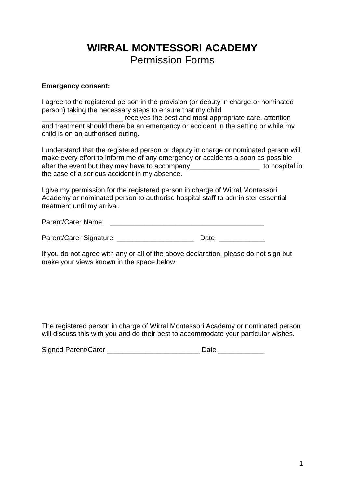## **WIRRAL MONTESSORI ACADEMY** Permission Forms

## **Emergency consent:**

I agree to the registered person in the provision (or deputy in charge or nominated person) taking the necessary steps to ensure that my child

\_\_\_\_\_\_\_\_\_\_\_\_\_\_\_\_\_\_\_\_\_ receives the best and most appropriate care, attention and treatment should there be an emergency or accident in the setting or while my child is on an authorised outing.

I understand that the registered person or deputy in charge or nominated person will make every effort to inform me of any emergency or accidents a soon as possible after the event but they may have to accompany\_\_\_\_\_\_\_\_\_\_\_\_\_\_\_\_\_\_ to hospital in the case of a serious accident in my absence.

I give my permission for the registered person in charge of Wirral Montessori Academy or nominated person to authorise hospital staff to administer essential treatment until my arrival.

Parent/Carer Name: \_\_\_\_\_\_\_\_\_\_\_\_\_\_\_\_\_\_\_\_\_\_\_\_\_\_\_\_\_\_\_\_\_\_\_\_\_\_\_\_

Parent/Carer Signature: \_\_\_\_\_\_\_\_\_\_\_\_\_\_\_\_\_\_\_\_\_\_\_\_\_\_\_\_ Date

If you do not agree with any or all of the above declaration, please do not sign but make your views known in the space below.

The registered person in charge of Wirral Montessori Academy or nominated person will discuss this with you and do their best to accommodate your particular wishes.

| Signed Parent/Carer |  |
|---------------------|--|
|---------------------|--|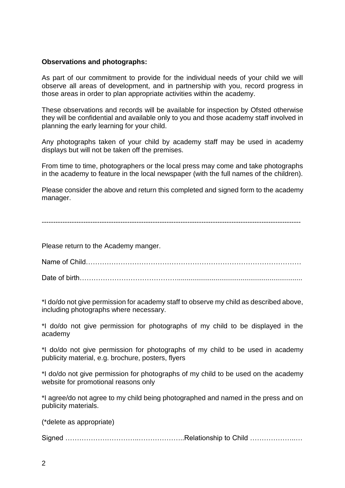## **Observations and photographs:**

As part of our commitment to provide for the individual needs of your child we will observe all areas of development, and in partnership with you, record progress in those areas in order to plan appropriate activities within the academy.

These observations and records will be available for inspection by Ofsted otherwise they will be confidential and available only to you and those academy staff involved in planning the early learning for your child.

Any photographs taken of your child by academy staff may be used in academy displays but will not be taken off the premises.

From time to time, photographers or the local press may come and take photographs in the academy to feature in the local newspaper (with the full names of the children).

Please consider the above and return this completed and signed form to the academy manager.

----------------------------------------------------------------------------------------------------------------

Please return to the Academy manger.

Name of Child…………………………………………………………………………………

Date of birth…………………………………….................................................................

\*I do/do not give permission for academy staff to observe my child as described above, including photographs where necessary.

\*I do/do not give permission for photographs of my child to be displayed in the academy

\*I do/do not give permission for photographs of my child to be used in academy publicity material, e.g. brochure, posters, flyers

\*I do/do not give permission for photographs of my child to be used on the academy website for promotional reasons only

\*I agree/do not agree to my child being photographed and named in the press and on publicity materials.

(\*delete as appropriate)

Signed …………………………..………………..Relationship to Child ………………..…